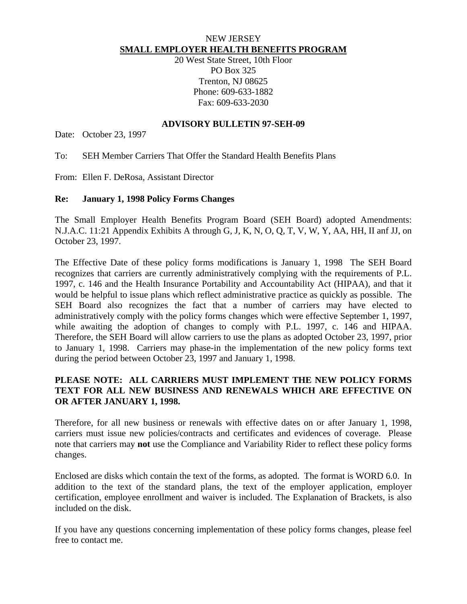#### NEW JERSEY **SMALL EMPLOYER HEALTH BENEFITS PROGRAM**

20 West State Street, 10th Floor PO Box 325 Trenton, NJ 08625 Phone: 609-633-1882 Fax: 609-633-2030

## **ADVISORY BULLETIN 97-SEH-09**

Date: October 23, 1997

To: SEH Member Carriers That Offer the Standard Health Benefits Plans

From: Ellen F. DeRosa, Assistant Director

## **Re: January 1, 1998 Policy Forms Changes**

The Small Employer Health Benefits Program Board (SEH Board) adopted Amendments: N.J.A.C. 11:21 Appendix Exhibits A through G, J, K, N, O, Q, T, V, W, Y, AA, HH, II anf JJ, on October 23, 1997.

The Effective Date of these policy forms modifications is January 1, 1998 The SEH Board recognizes that carriers are currently administratively complying with the requirements of P.L. 1997, c. 146 and the Health Insurance Portability and Accountability Act (HIPAA), and that it would be helpful to issue plans which reflect administrative practice as quickly as possible. The SEH Board also recognizes the fact that a number of carriers may have elected to administratively comply with the policy forms changes which were effective September 1, 1997, while awaiting the adoption of changes to comply with P.L. 1997, c. 146 and HIPAA. Therefore, the SEH Board will allow carriers to use the plans as adopted October 23, 1997, prior to January 1, 1998. Carriers may phase-in the implementation of the new policy forms text during the period between October 23, 1997 and January 1, 1998.

# **PLEASE NOTE: ALL CARRIERS MUST IMPLEMENT THE NEW POLICY FORMS TEXT FOR ALL NEW BUSINESS AND RENEWALS WHICH ARE EFFECTIVE ON OR AFTER JANUARY 1, 1998.**

Therefore, for all new business or renewals with effective dates on or after January 1, 1998, carriers must issue new policies/contracts and certificates and evidences of coverage. Please note that carriers may **not** use the Compliance and Variability Rider to reflect these policy forms changes.

Enclosed are disks which contain the text of the forms, as adopted. The format is WORD 6.0. In addition to the text of the standard plans, the text of the employer application, employer certification, employee enrollment and waiver is included. The Explanation of Brackets, is also included on the disk.

If you have any questions concerning implementation of these policy forms changes, please feel free to contact me.